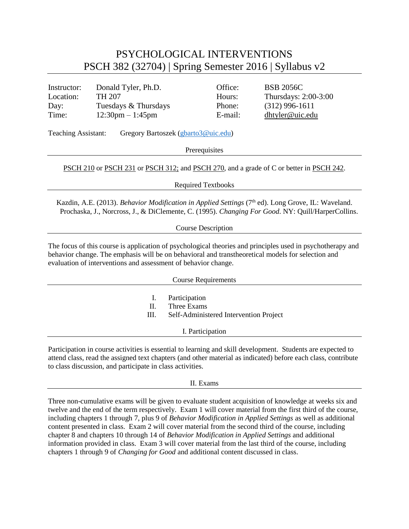## PSYCHOLOGICAL INTERVENTIONS PSCH 382 (32704) | Spring Semester 2016 | Syllabus v2

| Instructor:                                                       | Donald Tyler, Ph.D.                | Office: | <b>BSB 2056C</b>     |  |  |
|-------------------------------------------------------------------|------------------------------------|---------|----------------------|--|--|
| Location:                                                         | TH 207                             | Hours:  | Thursdays: 2:00-3:00 |  |  |
| Day:                                                              | Tuesdays & Thursdays               | Phone:  | $(312)$ 996-1611     |  |  |
| Time:                                                             | $12:30 \text{pm} - 1:45 \text{pm}$ | E-mail: | dhtyler@uic.edu      |  |  |
| <b>Teaching Assistant:</b><br>Gregory Bartoszek (gbarto3@uic.edu) |                                    |         |                      |  |  |
|                                                                   | Prerequisites                      |         |                      |  |  |
|                                                                   |                                    |         |                      |  |  |

## [PSCH](http://catalog.uic.edu/search/?P=PSCH%20210) 210 or [PSCH](http://catalog.uic.edu/search/?P=PSCH%20242) 231 o[r PSCH](http://catalog.uic.edu/search/?P=PSCH%20312) 312; and PSCH 270, and a grade of C or better in PSCH 242.

Required Textbooks

Kazdin, A.E. (2013). *Behavior Modification in Applied Settings* (7<sup>th</sup> ed). Long Grove, IL: Waveland. Prochaska, J., Norcross, J., & DiClemente, C. (1995). *Changing For Good*. NY: Quill/HarperCollins.

Course Description

The focus of this course is application of psychological theories and principles used in psychotherapy and behavior change. The emphasis will be on behavioral and transtheoretical models for selection and evaluation of interventions and assessment of behavior change.

| <b>Course Requirements</b> |                                                                        |  |  |  |
|----------------------------|------------------------------------------------------------------------|--|--|--|
| 1.<br>Н.<br>Ш.             | Participation<br>Three Exams<br>Self-Administered Intervention Project |  |  |  |
|                            | I. Participation                                                       |  |  |  |

Participation in course activities is essential to learning and skill development. Students are expected to attend class, read the assigned text chapters (and other material as indicated) before each class, contribute to class discussion, and participate in class activities.

## II. Exams

Three non-cumulative exams will be given to evaluate student acquisition of knowledge at weeks six and twelve and the end of the term respectively. Exam 1 will cover material from the first third of the course, including chapters 1 through 7, plus 9 of *Behavior Modification in Applied Settings* as well as additional content presented in class. Exam 2 will cover material from the second third of the course, including chapter 8 and chapters 10 through 14 of *Behavior Modification in Applied Settings* and additional information provided in class. Exam 3 will cover material from the last third of the course, including chapters 1 through 9 of *Changing for Good* and additional content discussed in class.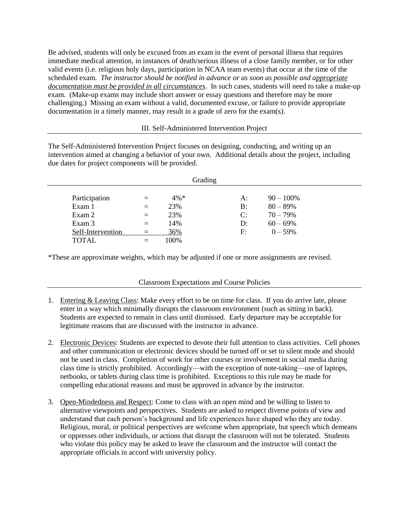Be advised, students will only be excused from an exam in the event of personal illness that requires immediate medical attention, in instances of death/serious illness of a close family member, or for other valid events (i.e. religious holy days, participation in NCAA team events) that occur at the time of the scheduled exam. *The instructor should be notified in advance or as soon as possible and appropriate documentation must be provided in all circumstances*. In such cases, students will need to take a make-up exam. (Make-up exams may include short answer or essay questions and therefore may be more challenging.) Missing an exam without a valid, documented excuse, or failure to provide appropriate documentation in a timely manner, may result in a grade of zero for the exam(s).

III. Self-Administered Intervention Project

The Self-Administered Intervention Project focuses on designing, conducting, and writing up an intervention aimed at changing a behavior of your own. Additional details about the project, including due dates for project components will be provided.

| Grading           |     |         |    |              |  |  |  |
|-------------------|-----|---------|----|--------------|--|--|--|
|                   |     |         |    |              |  |  |  |
| Participation     |     | $4\% *$ | A: | $90 - 100\%$ |  |  |  |
| Exam 1            |     | 23%     | B: | $80 - 89%$   |  |  |  |
| Exam 2            | $=$ | 23%     | C: | $70 - 79%$   |  |  |  |
| Exam 3            | $=$ | 14%     | D: | $60 - 69%$   |  |  |  |
| Self-Intervention |     | 36%     | F: | $0 - 59\%$   |  |  |  |
| <b>TOTAL</b>      |     | 100%    |    |              |  |  |  |

\*These are approximate weights, which may be adjusted if one or more assignments are revised.

Classroom Expectations and Course Policies

- 1. Entering & Leaving Class: Make every effort to be on time for class. If you do arrive late, please enter in a way which minimally disrupts the classroom environment (such as sitting in back). Students are expected to remain in class until dismissed. Early departure may be acceptable for legitimate reasons that are discussed with the instructor in advance.
- 2. Electronic Devices: Students are expected to devote their full attention to class activities. Cell phones and other communication or electronic devices should be turned off or set to silent mode and should not be used in class. Completion of work for other courses or involvement in social media during class time is strictly prohibited. Accordingly—with the exception of note-taking—use of laptops, netbooks, or tablets during class time is prohibited. Exceptions to this rule may be made for compelling educational reasons and must be approved in advance by the instructor.
- 3. Open-Mindedness and Respect: Come to class with an open mind and be willing to listen to alternative viewpoints and perspectives. Students are asked to respect diverse points of view and understand that each person's background and life experiences have shaped who they are today. Religious, moral, or political perspectives are welcome when appropriate, but speech which demeans or oppresses other individuals, or actions that disrupt the classroom will not be tolerated. Students who violate this policy may be asked to leave the classroom and the instructor will contact the appropriate officials in accord with university policy.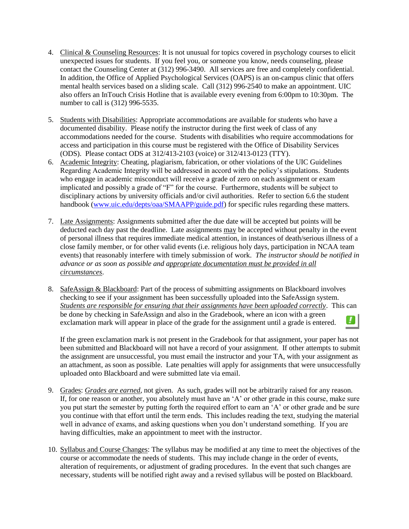- 4. Clinical & Counseling Resources: It is not unusual for topics covered in psychology courses to elicit unexpected issues for students. If you feel you, or someone you know, needs counseling, please contact the Counseling Center at (312) 996-3490. All services are free and completely confidential. In addition, the Office of Applied Psychological Services (OAPS) is an on-campus clinic that offers mental health services based on a sliding scale. Call (312) 996-2540 to make an appointment. UIC also offers an InTouch Crisis Hotline that is available every evening from 6:00pm to 10:30pm. The number to call is (312) 996-5535.
- 5. Students with Disabilities: Appropriate accommodations are available for students who have a documented disability. Please notify the instructor during the first week of class of any accommodations needed for the course. Students with disabilities who require accommodations for access and participation in this course must be registered with the Office of Disability Services (ODS). Please contact ODS at 312/413-2103 (voice) or 312/413-0123 (TTY).
- 6. Academic Integrity: Cheating, plagiarism, fabrication, or other violations of the UIC Guidelines Regarding Academic Integrity will be addressed in accord with the policy's stipulations. Students who engage in academic misconduct will receive a grade of zero on each assignment or exam implicated and possibly a grade of "F" for the course. Furthermore, students will be subject to disciplinary actions by university officials and/or civil authorities. Refer to section 6.6 the student handbook [\(www.uic.edu/depts/oaa/SMAAPP/guide.pdf\)](http://www.uic.edu/depts/oaa/SMAAPP/guide.pdf) for specific rules regarding these matters.
- 7. Late Assignments: Assignments submitted after the due date will be accepted but points will be deducted each day past the deadline. Late assignments may be accepted without penalty in the event of personal illness that requires immediate medical attention, in instances of death/serious illness of a close family member, or for other valid events (i.e. religious holy days, participation in NCAA team events) that reasonably interfere with timely submission of work. *The instructor should be notified in advance or as soon as possible and appropriate documentation must be provided in all circumstances*.
- 8. SafeAssign & Blackboard: Part of the process of submitting assignments on Blackboard involves checking to see if your assignment has been successfully uploaded into the SafeAssign system. *Students are responsible for ensuring that their assignments have been uploaded correctly*. This can be done by checking in SafeAssign and also in the Gradebook, where an icon with a green u. exclamation mark will appear in place of the grade for the assignment until a grade is entered.

If the green exclamation mark is not present in the Gradebook for that assignment, your paper has not been submitted and Blackboard will not have a record of your assignment. If other attempts to submit the assignment are unsuccessful, you must email the instructor and your TA, with your assignment as an attachment, as soon as possible. Late penalties will apply for assignments that were unsuccessfully uploaded onto Blackboard and were submitted late via email.

- 9. Grades: *Grades are earned*, not given. As such, grades will not be arbitrarily raised for any reason. If, for one reason or another, you absolutely must have an 'A' or other grade in this course, make sure you put start the semester by putting forth the required effort to earn an 'A' or other grade and be sure you continue with that effort until the term ends. This includes reading the text, studying the material well in advance of exams, and asking questions when you don't understand something. If you are having difficulties, make an appointment to meet with the instructor.
- 10. Syllabus and Course Changes: The syllabus may be modified at any time to meet the objectives of the course or accommodate the needs of students. This may include change in the order of events, alteration of requirements, or adjustment of grading procedures. In the event that such changes are necessary, students will be notified right away and a revised syllabus will be posted on Blackboard.